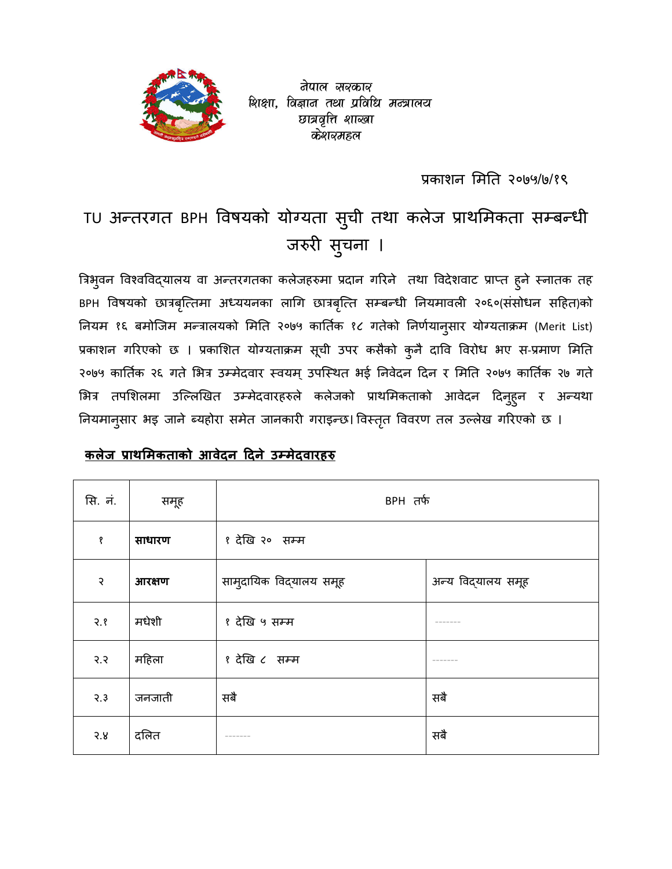वेपाल सरकार शिक्षा, विज्ञान तथा प्रविधि मन्त्रालय छात्रवृत्ति शाख्वा केशव्यमहल



 $\overline{a}$  -  $\overline{a}$  -  $\overline{a}$  -  $\overline{a}$  -  $\overline{a}$  -  $\overline{a}$  -  $\overline{a}$  -  $\overline{a}$  -  $\overline{a}$  -  $\overline{a}$  -  $\overline{a}$  -  $\overline{a}$  -  $\overline{a}$  -  $\overline{a}$  -  $\overline{a}$  -  $\overline{a}$  -  $\overline{a}$  -  $\overline{a}$  -  $\overline{a}$  -  $\overline{a}$  - प्रकाशन मिति २०७५/७/१९

# TU अन्तरगत BPH विषयको योग्यता सुची तथा कलेज प्राथमिकता सम्बन्धी | जरुरी सुचना ।

त्रिभुवन विश्वविद्यालय वा अन्तरगतका कलेजहरुमा प्रदान गरिने तथा विदेशवाट प्राप्त हुने स्नातक तह BPH विषयको छात्रबृत्तिमा अध्ययनका लागि छात्रबृत्ति सम्बन्धी नियमावली २०६०(संसोधन सहित)को नियम १६ बमोजिम मन्त्रालयको मिति २०७५ कार्तिक १८ गतेको निर्णयान्**सार योग्यताक्रम (Merit List**) प्रकाशन गरिएको छ । प्रकाशित योग्यताक्रम सूची उपर कसैको कुनै दावि विरोध भए स-प्रमाण मिति | २०७५ कार्तिक २६ गते भित्र उम्मेदवार स्वयम् उपस्थित भई निवेदन दिन र मिति २०७५ कार्तिक २७ गते भित्र तपशिलमा उल्लिखित उम्मेदवारहरुले कलेजको प्राथमिकताको आवेदन दिनुहुन र अन्यथा नियमानुसार भइ जाने ब्यहोरा समेत जानकारी गराइन्छ। विस्तृत विवरण तल उल्लेख गरिएको छ ।

### **कलेज ाथ मकताको आवेदन दने उमेदवारह**

| सि. नं. | समूह   | BPH तर्फ                |                    |
|---------|--------|-------------------------|--------------------|
| Ş       | साधारण | १ देखि २०) सम्म         |                    |
| २       | आरक्षण | सामुदायिक विद्यालय समूह | अन्य विद्यालय समूह |
| 3.8     | मधेशी  | १ देखि ५ सम्म           | -------            |
| 5.5     | महिला  | १ देखि ८ सम्म           | -------            |
| 3.3     | जनजाती | सबै                     | सबै                |
| 5.8     | दलित   | -------                 | सबै                |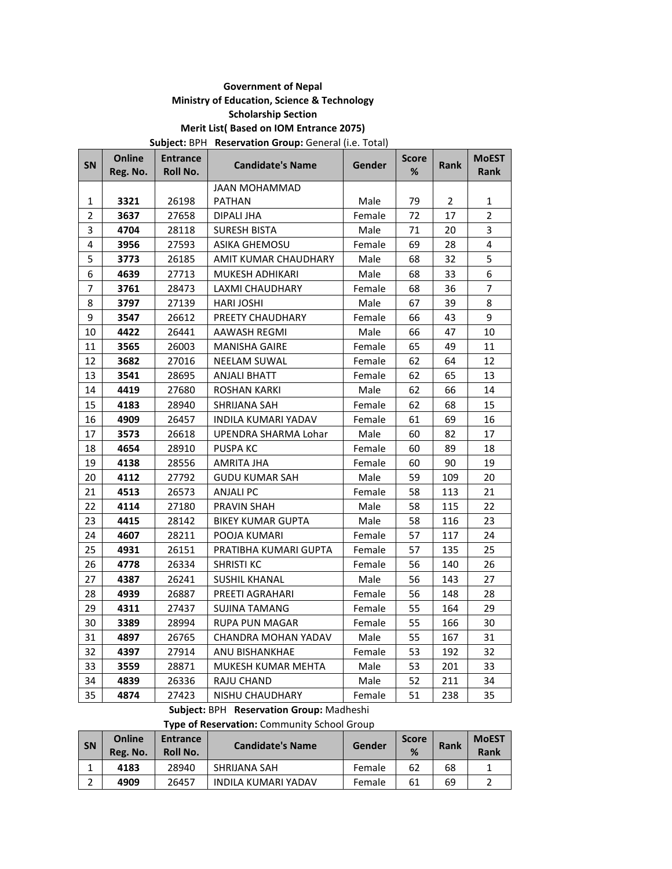#### **Government of Nepal Ministry of Education, Science & Technology Scholarship Section Merit List( Based on IOM Entrance 2075)**

**Subject:** BPH **Reservation Group:** General (i.e. Total)

| <b>SN</b>      | Online<br>Reg. No. | <b>Entrance</b><br>Roll No. | <b>Candidate's Name</b>    | Gender | <b>Score</b><br>% | Rank | <b>MoEST</b><br>Rank    |
|----------------|--------------------|-----------------------------|----------------------------|--------|-------------------|------|-------------------------|
|                |                    |                             | JAAN MOHAMMAD              |        |                   |      |                         |
| 1              | 3321               | 26198                       | PATHAN                     | Male   | 79                | 2    | 1                       |
| $\overline{2}$ | 3637               | 27658                       | DIPALI JHA                 | Female | 72                | 17   | $\overline{2}$          |
| 3              | 4704               | 28118                       | <b>SURESH BISTA</b>        | Male   | 71                | 20   | 3                       |
| 4              | 3956               | 27593                       | ASIKA GHEMOSU              | Female | 69                | 28   | $\overline{\mathbf{4}}$ |
| 5              | 3773               | 26185                       | AMIT KUMAR CHAUDHARY       | Male   | 68                | 32   | 5                       |
| 6              | 4639               | 27713                       | MUKESH ADHIKARI            | Male   | 68                | 33   | 6                       |
| $\overline{7}$ | 3761               | 28473                       | LAXMI CHAUDHARY            | Female | 68                | 36   | $\overline{7}$          |
| 8              | 3797               | 27139                       | <b>HARI JOSHI</b>          | Male   | 67                | 39   | 8                       |
| 9              | 3547               | 26612                       | PREETY CHAUDHARY           | Female | 66                | 43   | 9                       |
| 10             | 4422               | 26441                       | AAWASH REGMI               | Male   | 66                | 47   | 10                      |
| 11             | 3565               | 26003                       | <b>MANISHA GAIRE</b>       | Female | 65                | 49   | 11                      |
| 12             | 3682               | 27016                       | <b>NEELAM SUWAL</b>        | Female | 62                | 64   | 12                      |
| 13             | 3541               | 28695                       | ANJALI BHATT               | Female | 62                | 65   | 13                      |
| 14             | 4419               | 27680                       | ROSHAN KARKI               | Male   | 62                | 66   | 14                      |
| 15             | 4183               | 28940                       | SHRIJANA SAH               | Female | 62                | 68   | 15                      |
| 16             | 4909               | 26457                       | INDILA KUMARI YADAV        | Female | 61                | 69   | 16                      |
| 17             | 3573               | 26618                       | UPENDRA SHARMA Lohar       | Male   | 60                | 82   | 17                      |
| 18             | 4654               | 28910                       | <b>PUSPA KC</b>            | Female | 60                | 89   | 18                      |
| 19             | 4138               | 28556                       | AMRITA JHA                 | Female | 60                | 90   | 19                      |
| 20             | 4112               | 27792                       | GUDU KUMAR SAH             | Male   | 59                | 109  | 20                      |
| 21             | 4513               | 26573                       | <b>ANJALI PC</b>           | Female | 58                | 113  | 21                      |
| 22             | 4114               | 27180                       | PRAVIN SHAH                | Male   | 58                | 115  | 22                      |
| 23             | 4415               | 28142                       | <b>BIKEY KUMAR GUPTA</b>   | Male   | 58                | 116  | 23                      |
| 24             | 4607               | 28211                       | POOJA KUMARI               | Female | 57                | 117  | 24                      |
| 25             | 4931               | 26151                       | PRATIBHA KUMARI GUPTA      | Female | 57                | 135  | 25                      |
| 26             | 4778               | 26334                       | SHRISTI KC                 | Female | 56                | 140  | 26                      |
| 27             | 4387               | 26241                       | SUSHIL KHANAL              | Male   | 56                | 143  | 27                      |
| 28             | 4939               | 26887                       | PREETI AGRAHARI            | Female | 56                | 148  | 28                      |
| 29             | 4311               | 27437                       | SUJINA TAMANG              | Female | 55                | 164  | 29                      |
| 30             | 3389               | 28994                       | RUPA PUN MAGAR             | Female | 55                | 166  | 30                      |
| 31             | 4897               | 26765                       | <b>CHANDRA MOHAN YADAV</b> | Male   | 55                | 167  | 31                      |
| 32             | 4397               | 27914                       | <b>ANU BISHANKHAE</b>      | Female | 53                | 192  | 32                      |
| 33             | 3559               | 28871                       | MUKESH KUMAR MEHTA         | Male   | 53                | 201  | 33                      |
| 34             | 4839               | 26336                       | RAJU CHAND                 | Male   | 52                | 211  | 34                      |
| 35             | 4874               | 27423                       | NISHU CHAUDHARY            | Female | 51                | 238  | 35                      |

**Subject:** BPH **Reservation Group:** Madheshi

**Type of Reservation:** Community School Group

| SN | Online<br>Reg. No. | <b>Entrance</b><br>Roll No. | <b>Candidate's Name</b> | Gender | <b>Score</b><br>% | Rank | <b>MoEST</b><br>Rank |
|----|--------------------|-----------------------------|-------------------------|--------|-------------------|------|----------------------|
| ┻  | 4183               | 28940                       | SHRIJANA SAH            | Female | 62                | 68   |                      |
| ے  | 4909               | 26457                       | INDILA KUMARI YADAV     | Female | 61                | 69   |                      |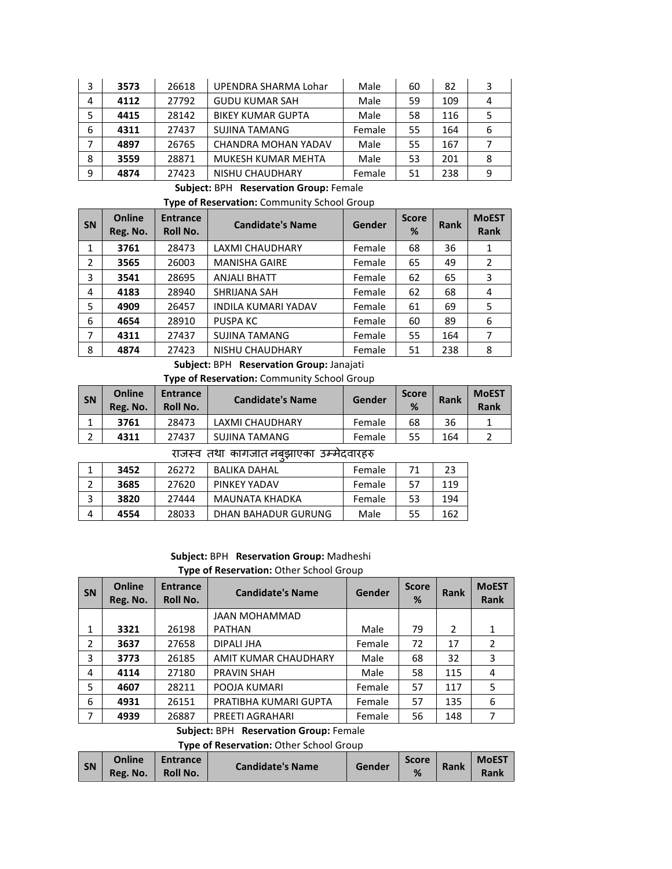| 3 | 3573 | 26618 | UPENDRA SHARMA Lohar       | Male   | 60 | 82  |   |
|---|------|-------|----------------------------|--------|----|-----|---|
| 4 | 4112 | 27792 | <b>GUDU KUMAR SAH</b>      | Male   | 59 | 109 |   |
| 5 | 4415 | 28142 | <b>BIKEY KUMAR GUPTA</b>   | Male   | 58 | 116 |   |
| 6 | 4311 | 27437 | <b>SUJINA TAMANG</b>       | Female | 55 | 164 | 6 |
|   | 4897 | 26765 | <b>CHANDRA MOHAN YADAV</b> | Male   | 55 | 167 |   |
| 8 | 3559 | 28871 | MUKESH KUMAR MEHTA         | Male   | 53 | 201 |   |
| 9 | 4874 | 27423 | NISHU CHAUDHARY            | Female | 51 | 238 | 9 |

## **Subject:** BPH **Reservation Group:** Female

**Type of Reservation:** Community School Group

| SN | <b>Online</b><br>Reg. No. | <b>Entrance</b><br><b>Roll No.</b> | <b>Candidate's Name</b>    | Gender | <b>Score</b><br>% | <b>Rank</b> | <b>MoEST</b><br><b>Rank</b> |
|----|---------------------------|------------------------------------|----------------------------|--------|-------------------|-------------|-----------------------------|
| 1  | 3761                      | 28473                              | LAXMI CHAUDHARY            | Female | 68                | 36          | 1                           |
| 2  | 3565                      | 26003                              | <b>MANISHA GAIRE</b>       | Female | 65                | 49          | $\mathcal{P}$               |
| 3  | 3541                      | 28695                              | <b>ANJALI BHATT</b>        | Female | 62                | 65          | 3                           |
| 4  | 4183                      | 28940                              | SHRIJANA SAH               | Female | 62                | 68          | 4                           |
| 5  | 4909                      | 26457                              | <b>INDILA KUMARI YADAV</b> | Female | 61                | 69          | 5                           |
| 6  | 4654                      | 28910                              | PUSPA KC                   | Female | 60                | 89          | 6                           |
| 7  | 4311                      | 27437                              | <b>SUJINA TAMANG</b>       | Female | 55                | 164         |                             |
| 8  | 4874                      | 27423                              | NISHU CHAUDHARY            | Female | 51                | 238         | 8                           |

**Subject:** BPH **Reservation Group:** Janajati

**Type of Reservation:** Community School Group

| SN       | Online<br>Reg. No. | <b>Entrance</b><br><b>Roll No.</b> | <b>Candidate's Name</b> | Gender | <b>Score</b><br>% | Rank | <b>MoEST</b><br>Rank |
|----------|--------------------|------------------------------------|-------------------------|--------|-------------------|------|----------------------|
| ┻        | 3761               | 28473                              | LAXMI CHAUDHARY         | Female | 68                | 36   |                      |
| <u>.</u> | 4311               | 27437                              | SUJINA TAMANG           | Female | 55                | 164  |                      |
|          |                    |                                    |                         |        |                   |      |                      |

राजस्व तथा कागजात नबुझाएका उम्मेदवारहरु

|   | 3452 | 26272 | BALIKA DAHAL        | Female |    |     |
|---|------|-------|---------------------|--------|----|-----|
|   | 3685 | 27620 | PINKEY YADAV        | Female | 57 | 119 |
|   | 3820 | 27444 | MAUNATA KHADKA      | Female | 53 | 194 |
| 4 | 4554 | 28033 | DHAN BAHADUR GURUNG | Male   | 55 | 162 |

#### **Subject:** BPH **Reservation Group:** Madheshi **Type of Reservation:** Other School Group

| <b>SN</b>      | <b>Online</b><br>Reg. No. | <b>Entrance</b><br><b>Roll No.</b> | <b>Candidate's Name</b>                                                           | Gender | <b>Score</b><br>% | <b>Rank</b> | <b>MoEST</b><br><b>Rank</b> |
|----------------|---------------------------|------------------------------------|-----------------------------------------------------------------------------------|--------|-------------------|-------------|-----------------------------|
|                |                           |                                    | <b>JAAN MOHAMMAD</b>                                                              |        |                   |             |                             |
| 1              | 3321                      | 26198                              | <b>PATHAN</b>                                                                     | Male   | 79                | 2           | 1                           |
| 2              | 3637                      | 27658                              | DIPALI JHA                                                                        | Female | 72                | 17          | 2                           |
| 3              | 3773                      | 26185                              | AMIT KUMAR CHAUDHARY                                                              | Male   | 68                | 32          | 3                           |
| 4              | 4114                      | 27180                              | PRAVIN SHAH                                                                       | Male   | 58                | 115         | 4                           |
| 5              | 4607                      | 28211                              | POOJA KUMARI                                                                      | Female | 57                | 117         | 5                           |
| 6              | 4931                      | 26151                              | PRATIBHA KUMARI GUPTA                                                             | Female | 57                | 135         | 6                           |
| $\overline{7}$ | 4939                      | 26887                              | PREETI AGRAHARI                                                                   | Female | 56                | 148         | 7                           |
|                |                           |                                    | Subject: BPH Reservation Group: Female<br>Tung of Becompations Other Cahool Croup |        |                   |             |                             |

**Type of Reservation:** Other School Group

| <b>SN</b> | <b>Online</b> | Entrance | <b>Candidate's Name</b> | Gender | Score | Rank | <b>MoEST</b> |
|-----------|---------------|----------|-------------------------|--------|-------|------|--------------|
|           | Reg. No.      | Roll No. |                         |        | %     |      | <b>Rank</b>  |